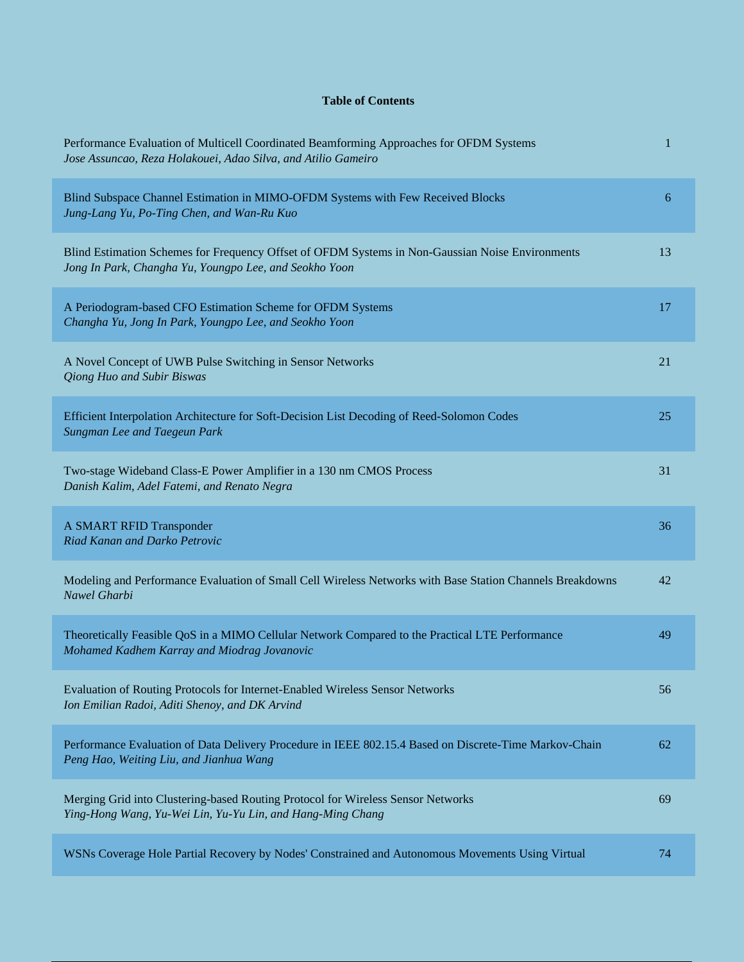## **Table of Contents**

| Performance Evaluation of Multicell Coordinated Beamforming Approaches for OFDM Systems<br>Jose Assuncao, Reza Holakouei, Adao Silva, and Atilio Gameiro   | 1  |
|------------------------------------------------------------------------------------------------------------------------------------------------------------|----|
| Blind Subspace Channel Estimation in MIMO-OFDM Systems with Few Received Blocks<br>Jung-Lang Yu, Po-Ting Chen, and Wan-Ru Kuo                              | 6  |
| Blind Estimation Schemes for Frequency Offset of OFDM Systems in Non-Gaussian Noise Environments<br>Jong In Park, Changha Yu, Youngpo Lee, and Seokho Yoon | 13 |
| A Periodogram-based CFO Estimation Scheme for OFDM Systems<br>Changha Yu, Jong In Park, Youngpo Lee, and Seokho Yoon                                       | 17 |
| A Novel Concept of UWB Pulse Switching in Sensor Networks<br>Qiong Huo and Subir Biswas                                                                    | 21 |
| Efficient Interpolation Architecture for Soft-Decision List Decoding of Reed-Solomon Codes<br>Sungman Lee and Taegeun Park                                 | 25 |
| Two-stage Wideband Class-E Power Amplifier in a 130 nm CMOS Process<br>Danish Kalim, Adel Fatemi, and Renato Negra                                         | 31 |
| A SMART RFID Transponder<br>Riad Kanan and Darko Petrovic                                                                                                  | 36 |
| Modeling and Performance Evaluation of Small Cell Wireless Networks with Base Station Channels Breakdowns<br>Nawel Gharbi                                  | 42 |
| Theoretically Feasible QoS in a MIMO Cellular Network Compared to the Practical LTE Performance<br>Mohamed Kadhem Karray and Miodrag Jovanovic             | 49 |
| Evaluation of Routing Protocols for Internet-Enabled Wireless Sensor Networks<br>Ion Emilian Radoi, Aditi Shenoy, and DK Arvind                            | 56 |
| Performance Evaluation of Data Delivery Procedure in IEEE 802.15.4 Based on Discrete-Time Markov-Chain<br>Peng Hao, Weiting Liu, and Jianhua Wang          | 62 |
| Merging Grid into Clustering-based Routing Protocol for Wireless Sensor Networks<br>Ying-Hong Wang, Yu-Wei Lin, Yu-Yu Lin, and Hang-Ming Chang             | 69 |
| WSNs Coverage Hole Partial Recovery by Nodes' Constrained and Autonomous Movements Using Virtual                                                           | 74 |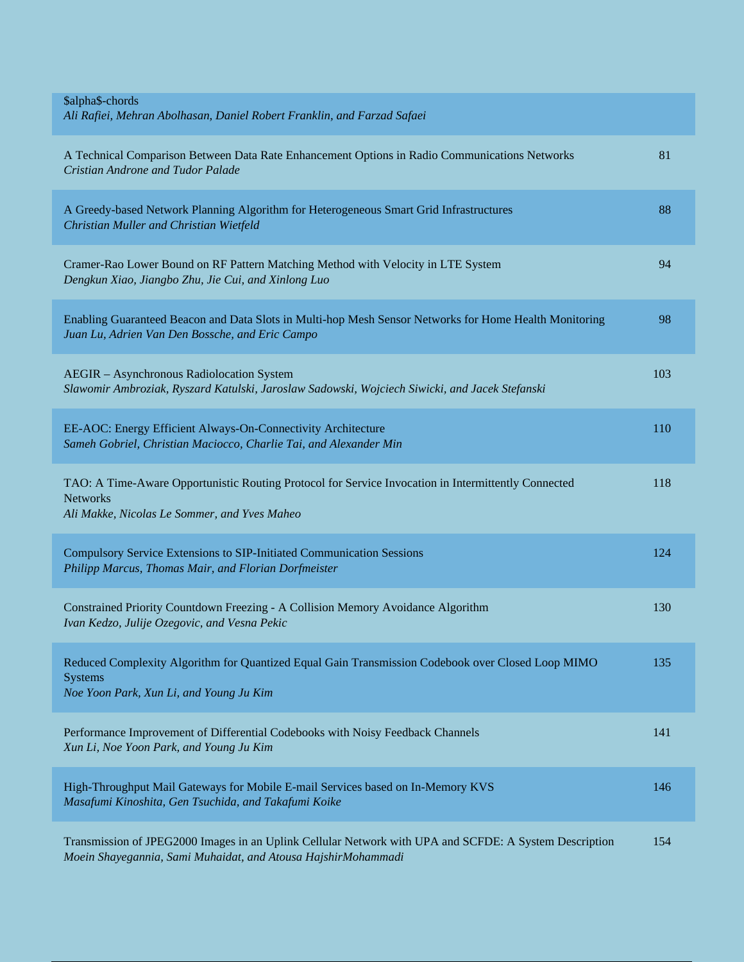| \$alpha\$-chords<br>Ali Rafiei, Mehran Abolhasan, Daniel Robert Franklin, and Farzad Safaei                                                                             |     |
|-------------------------------------------------------------------------------------------------------------------------------------------------------------------------|-----|
| A Technical Comparison Between Data Rate Enhancement Options in Radio Communications Networks<br>Cristian Androne and Tudor Palade                                      | 81  |
| A Greedy-based Network Planning Algorithm for Heterogeneous Smart Grid Infrastructures<br>Christian Muller and Christian Wietfeld                                       | 88  |
| Cramer-Rao Lower Bound on RF Pattern Matching Method with Velocity in LTE System<br>Dengkun Xiao, Jiangbo Zhu, Jie Cui, and Xinlong Luo                                 | 94  |
| Enabling Guaranteed Beacon and Data Slots in Multi-hop Mesh Sensor Networks for Home Health Monitoring<br>Juan Lu, Adrien Van Den Bossche, and Eric Campo               | 98  |
| AEGIR - Asynchronous Radiolocation System<br>Slawomir Ambroziak, Ryszard Katulski, Jaroslaw Sadowski, Wojciech Siwicki, and Jacek Stefanski                             | 103 |
| EE-AOC: Energy Efficient Always-On-Connectivity Architecture<br>Sameh Gobriel, Christian Maciocco, Charlie Tai, and Alexander Min                                       | 110 |
| TAO: A Time-Aware Opportunistic Routing Protocol for Service Invocation in Intermittently Connected<br><b>Networks</b><br>Ali Makke, Nicolas Le Sommer, and Yves Maheo  | 118 |
| Compulsory Service Extensions to SIP-Initiated Communication Sessions<br>Philipp Marcus, Thomas Mair, and Florian Dorfmeister                                           | 124 |
| Constrained Priority Countdown Freezing - A Collision Memory Avoidance Algorithm<br>Ivan Kedzo, Julije Ozegovic, and Vesna Pekic                                        | 130 |
| Reduced Complexity Algorithm for Quantized Equal Gain Transmission Codebook over Closed Loop MIMO<br><b>Systems</b><br>Noe Yoon Park, Xun Li, and Young Ju Kim          | 135 |
| Performance Improvement of Differential Codebooks with Noisy Feedback Channels<br>Xun Li, Noe Yoon Park, and Young Ju Kim                                               | 141 |
| High-Throughput Mail Gateways for Mobile E-mail Services based on In-Memory KVS<br>Masafumi Kinoshita, Gen Tsuchida, and Takafumi Koike                                 | 146 |
| Transmission of JPEG2000 Images in an Uplink Cellular Network with UPA and SCFDE: A System Description<br>Moein Shayegannia, Sami Muhaidat, and Atousa HajshirMohammadi | 154 |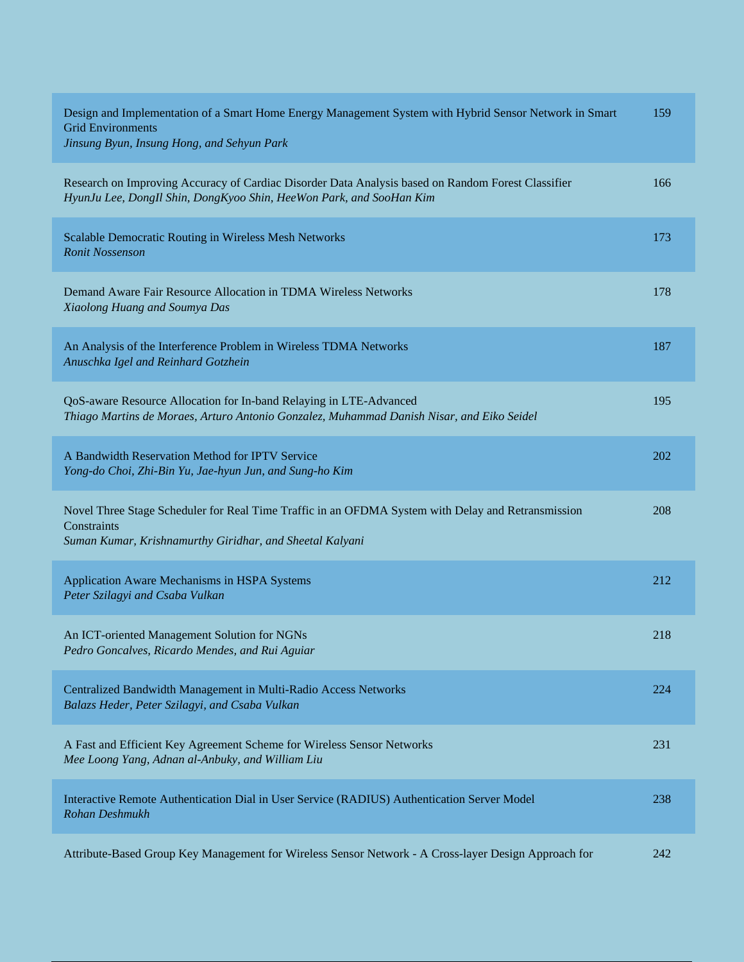| Design and Implementation of a Smart Home Energy Management System with Hybrid Sensor Network in Smart<br><b>Grid Environments</b><br>Jinsung Byun, Insung Hong, and Sehyun Park | 159 |
|----------------------------------------------------------------------------------------------------------------------------------------------------------------------------------|-----|
| Research on Improving Accuracy of Cardiac Disorder Data Analysis based on Random Forest Classifier<br>HyunJu Lee, DongIl Shin, DongKyoo Shin, HeeWon Park, and SooHan Kim        | 166 |
| Scalable Democratic Routing in Wireless Mesh Networks<br><b>Ronit Nossenson</b>                                                                                                  | 173 |
| Demand Aware Fair Resource Allocation in TDMA Wireless Networks<br>Xiaolong Huang and Soumya Das                                                                                 | 178 |
| An Analysis of the Interference Problem in Wireless TDMA Networks<br>Anuschka Igel and Reinhard Gotzhein                                                                         | 187 |
| QoS-aware Resource Allocation for In-band Relaying in LTE-Advanced<br>Thiago Martins de Moraes, Arturo Antonio Gonzalez, Muhammad Danish Nisar, and Eiko Seidel                  | 195 |
| A Bandwidth Reservation Method for IPTV Service<br>Yong-do Choi, Zhi-Bin Yu, Jae-hyun Jun, and Sung-ho Kim                                                                       | 202 |
| Novel Three Stage Scheduler for Real Time Traffic in an OFDMA System with Delay and Retransmission<br>Constraints<br>Suman Kumar, Krishnamurthy Giridhar, and Sheetal Kalyani    | 208 |
| Application Aware Mechanisms in HSPA Systems<br>Peter Szilagyi and Csaba Vulkan                                                                                                  | 212 |
| An ICT-oriented Management Solution for NGNs<br>Pedro Goncalves, Ricardo Mendes, and Rui Aguiar                                                                                  | 218 |
| Centralized Bandwidth Management in Multi-Radio Access Networks<br>Balazs Heder, Peter Szilagyi, and Csaba Vulkan                                                                | 224 |
| A Fast and Efficient Key Agreement Scheme for Wireless Sensor Networks<br>Mee Loong Yang, Adnan al-Anbuky, and William Liu                                                       | 231 |
| Interactive Remote Authentication Dial in User Service (RADIUS) Authentication Server Model<br>Rohan Deshmukh                                                                    | 238 |
| Attribute-Based Group Key Management for Wireless Sensor Network - A Cross-layer Design Approach for                                                                             | 242 |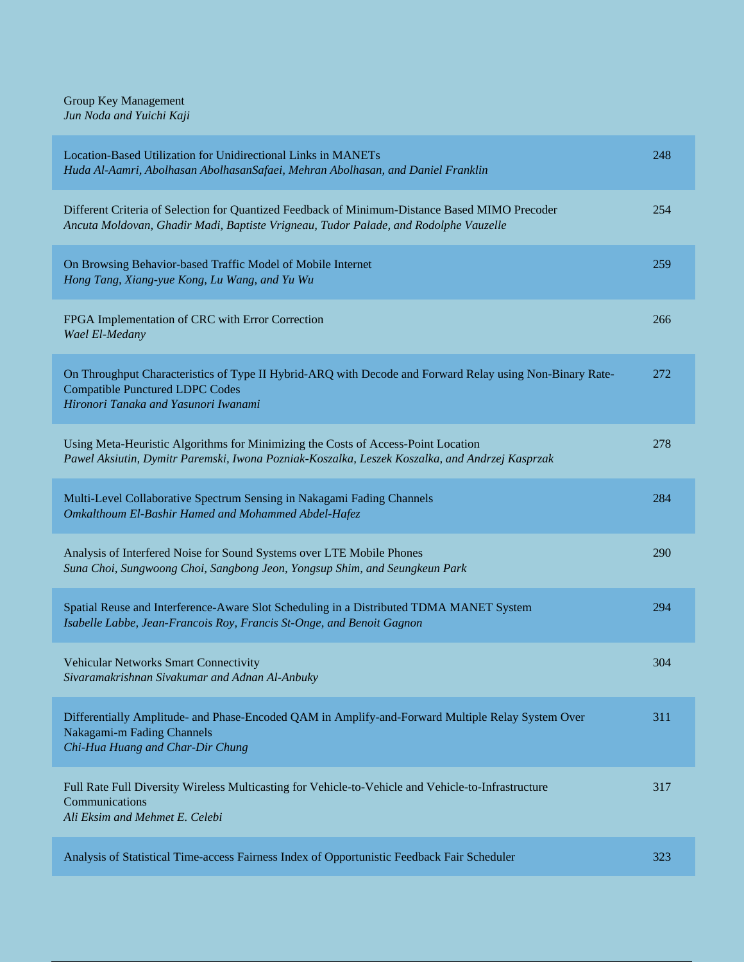Group Key Management *Jun Noda and Yuichi Kaji*

| Location-Based Utilization for Unidirectional Links in MANETs<br>Huda Al-Aamri, Abolhasan AbolhasanSafaei, Mehran Abolhasan, and Daniel Franklin                                           | 248 |
|--------------------------------------------------------------------------------------------------------------------------------------------------------------------------------------------|-----|
| Different Criteria of Selection for Quantized Feedback of Minimum-Distance Based MIMO Precoder<br>Ancuta Moldovan, Ghadir Madi, Baptiste Vrigneau, Tudor Palade, and Rodolphe Vauzelle     | 254 |
| On Browsing Behavior-based Traffic Model of Mobile Internet<br>Hong Tang, Xiang-yue Kong, Lu Wang, and Yu Wu                                                                               | 259 |
| FPGA Implementation of CRC with Error Correction<br>Wael El-Medany                                                                                                                         | 266 |
| On Throughput Characteristics of Type II Hybrid-ARQ with Decode and Forward Relay using Non-Binary Rate-<br><b>Compatible Punctured LDPC Codes</b><br>Hironori Tanaka and Yasunori Iwanami | 272 |
| Using Meta-Heuristic Algorithms for Minimizing the Costs of Access-Point Location<br>Pawel Aksiutin, Dymitr Paremski, Iwona Pozniak-Koszalka, Leszek Koszalka, and Andrzej Kasprzak        | 278 |
| Multi-Level Collaborative Spectrum Sensing in Nakagami Fading Channels<br>Omkalthoum El-Bashir Hamed and Mohammed Abdel-Hafez                                                              | 284 |
| Analysis of Interfered Noise for Sound Systems over LTE Mobile Phones<br>Suna Choi, Sungwoong Choi, Sangbong Jeon, Yongsup Shim, and Seungkeun Park                                        | 290 |
| Spatial Reuse and Interference-Aware Slot Scheduling in a Distributed TDMA MANET System<br>Isabelle Labbe, Jean-Francois Roy, Francis St-Onge, and Benoit Gagnon                           | 294 |
| Vehicular Networks Smart Connectivity<br>Sivaramakrishnan Sivakumar and Adnan Al-Anbuky                                                                                                    | 304 |
| Differentially Amplitude- and Phase-Encoded QAM in Amplify-and-Forward Multiple Relay System Over<br>Nakagami-m Fading Channels<br>Chi-Hua Huang and Char-Dir Chung                        | 311 |
| Full Rate Full Diversity Wireless Multicasting for Vehicle-to-Vehicle and Vehicle-to-Infrastructure<br>Communications<br>Ali Eksim and Mehmet E. Celebi                                    | 317 |
| Analysis of Statistical Time-access Fairness Index of Opportunistic Feedback Fair Scheduler                                                                                                | 323 |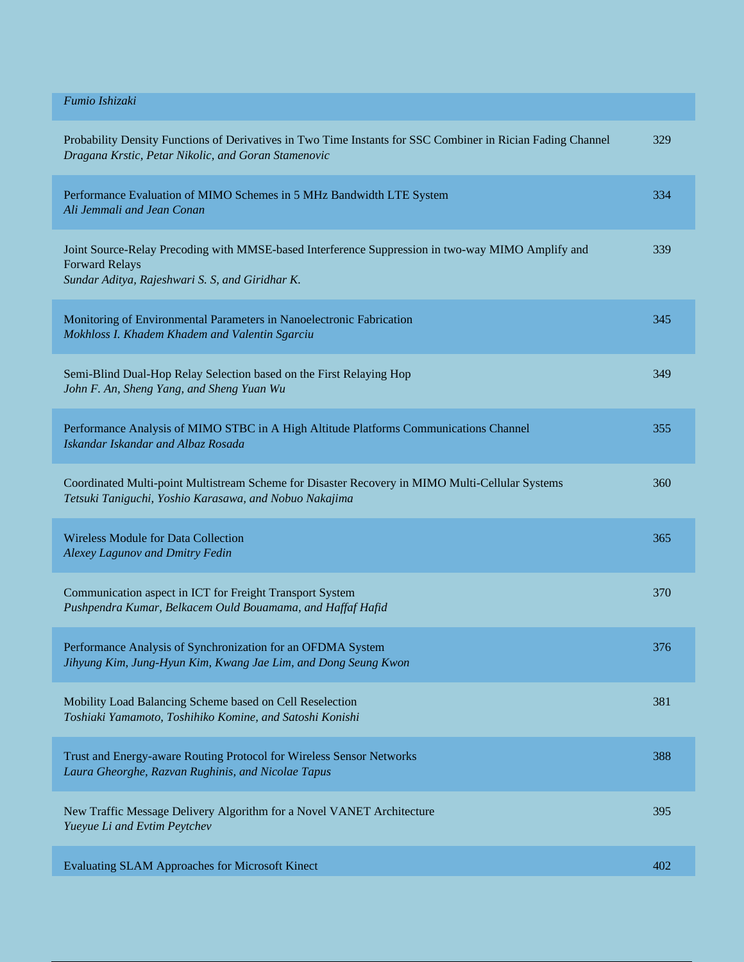| Fumio Ishizaki                                                                                                                                                                |     |
|-------------------------------------------------------------------------------------------------------------------------------------------------------------------------------|-----|
| Probability Density Functions of Derivatives in Two Time Instants for SSC Combiner in Rician Fading Channel<br>Dragana Krstic, Petar Nikolic, and Goran Stamenovic            | 329 |
| Performance Evaluation of MIMO Schemes in 5 MHz Bandwidth LTE System<br>Ali Jemmali and Jean Conan                                                                            | 334 |
| Joint Source-Relay Precoding with MMSE-based Interference Suppression in two-way MIMO Amplify and<br><b>Forward Relays</b><br>Sundar Aditya, Rajeshwari S. S, and Giridhar K. | 339 |
| Monitoring of Environmental Parameters in Nanoelectronic Fabrication<br>Mokhloss I. Khadem Khadem and Valentin Sgarciu                                                        | 345 |
| Semi-Blind Dual-Hop Relay Selection based on the First Relaying Hop<br>John F. An, Sheng Yang, and Sheng Yuan Wu                                                              | 349 |
| Performance Analysis of MIMO STBC in A High Altitude Platforms Communications Channel<br>Iskandar Iskandar and Albaz Rosada                                                   | 355 |
| Coordinated Multi-point Multistream Scheme for Disaster Recovery in MIMO Multi-Cellular Systems<br>Tetsuki Taniguchi, Yoshio Karasawa, and Nobuo Nakajima                     | 360 |
| <b>Wireless Module for Data Collection</b><br><b>Alexey Lagunov and Dmitry Fedin</b>                                                                                          | 365 |
| Communication aspect in ICT for Freight Transport System<br>Pushpendra Kumar, Belkacem Ould Bouamama, and Haffaf Hafid                                                        | 370 |
| Performance Analysis of Synchronization for an OFDMA System<br>Jihyung Kim, Jung-Hyun Kim, Kwang Jae Lim, and Dong Seung Kwon                                                 | 376 |
| Mobility Load Balancing Scheme based on Cell Reselection<br>Toshiaki Yamamoto, Toshihiko Komine, and Satoshi Konishi                                                          | 381 |
| Trust and Energy-aware Routing Protocol for Wireless Sensor Networks<br>Laura Gheorghe, Razvan Rughinis, and Nicolae Tapus                                                    | 388 |
| New Traffic Message Delivery Algorithm for a Novel VANET Architecture<br>Yueyue Li and Evtim Peytchev                                                                         | 395 |
| Evaluating SLAM Approaches for Microsoft Kinect                                                                                                                               | 402 |